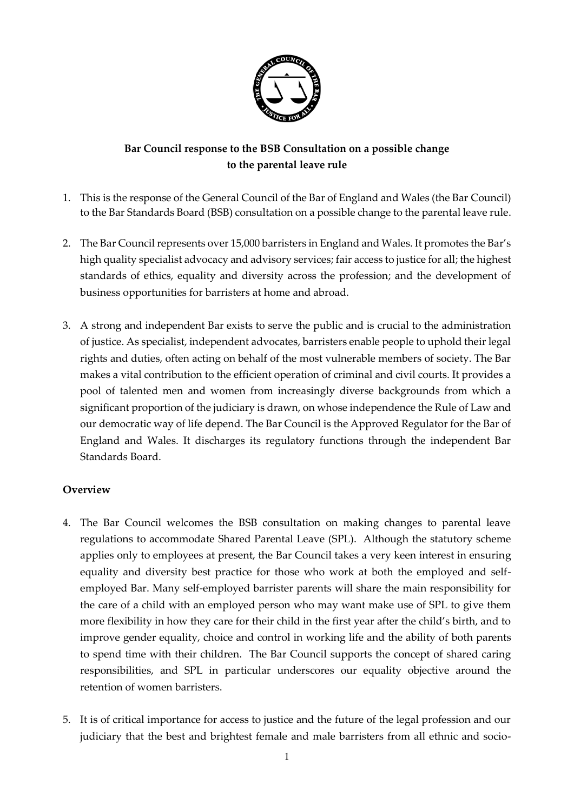

# **Bar Council response to the BSB Consultation on a possible change to the parental leave rule**

- 1. This is the response of the General Council of the Bar of England and Wales (the Bar Council) to the Bar Standards Board (BSB) consultation on a possible change to the parental leave rule.
- 2. The Bar Council represents over 15,000 barristers in England and Wales. It promotes the Bar's high quality specialist advocacy and advisory services; fair access to justice for all; the highest standards of ethics, equality and diversity across the profession; and the development of business opportunities for barristers at home and abroad.
- 3. A strong and independent Bar exists to serve the public and is crucial to the administration of justice. As specialist, independent advocates, barristers enable people to uphold their legal rights and duties, often acting on behalf of the most vulnerable members of society. The Bar makes a vital contribution to the efficient operation of criminal and civil courts. It provides a pool of talented men and women from increasingly diverse backgrounds from which a significant proportion of the judiciary is drawn, on whose independence the Rule of Law and our democratic way of life depend. The Bar Council is the Approved Regulator for the Bar of England and Wales. It discharges its regulatory functions through the independent Bar Standards Board.

# **Overview**

- 4. The Bar Council welcomes the BSB consultation on making changes to parental leave regulations to accommodate Shared Parental Leave (SPL). Although the statutory scheme applies only to employees at present, the Bar Council takes a very keen interest in ensuring equality and diversity best practice for those who work at both the employed and selfemployed Bar. Many self-employed barrister parents will share the main responsibility for the care of a child with an employed person who may want make use of SPL to give them more flexibility in how they care for their child in the first year after the child's birth, and to improve gender equality, choice and control in working life and the ability of both parents to spend time with their children. The Bar Council supports the concept of shared caring responsibilities, and SPL in particular underscores our equality objective around the retention of women barristers.
- 5. It is of critical importance for access to justice and the future of the legal profession and our judiciary that the best and brightest female and male barristers from all ethnic and socio-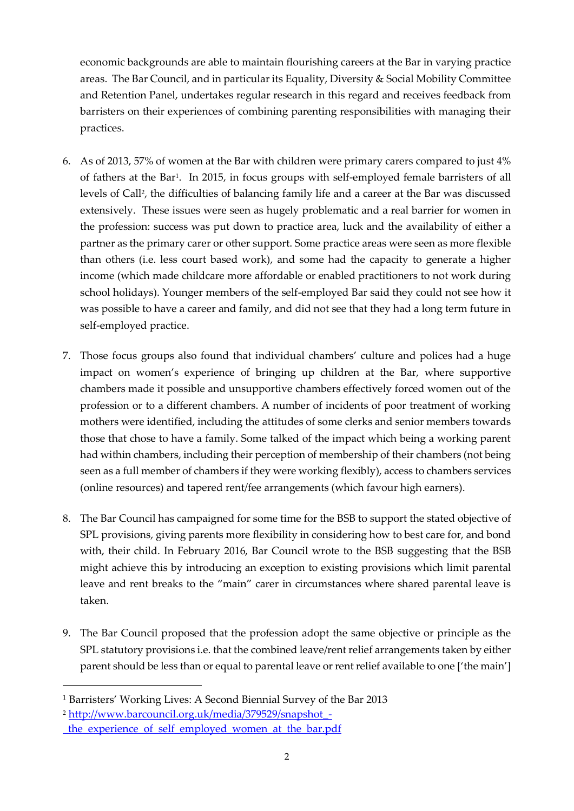economic backgrounds are able to maintain flourishing careers at the Bar in varying practice areas. The Bar Council, and in particular its Equality, Diversity & Social Mobility Committee and Retention Panel, undertakes regular research in this regard and receives feedback from barristers on their experiences of combining parenting responsibilities with managing their practices.

- 6. As of 2013, 57% of women at the Bar with children were primary carers compared to just 4% of fathers at the Bar<sup>1</sup> . In 2015, in focus groups with self-employed female barristers of all levels of Call<sup>2</sup>, the difficulties of balancing family life and a career at the Bar was discussed extensively. These issues were seen as hugely problematic and a real barrier for women in the profession: success was put down to practice area, luck and the availability of either a partner as the primary carer or other support. Some practice areas were seen as more flexible than others (i.e. less court based work), and some had the capacity to generate a higher income (which made childcare more affordable or enabled practitioners to not work during school holidays). Younger members of the self-employed Bar said they could not see how it was possible to have a career and family, and did not see that they had a long term future in self-employed practice.
- 7. Those focus groups also found that individual chambers' culture and polices had a huge impact on women's experience of bringing up children at the Bar, where supportive chambers made it possible and unsupportive chambers effectively forced women out of the profession or to a different chambers. A number of incidents of poor treatment of working mothers were identified, including the attitudes of some clerks and senior members towards those that chose to have a family. Some talked of the impact which being a working parent had within chambers, including their perception of membership of their chambers (not being seen as a full member of chambers if they were working flexibly), access to chambers services (online resources) and tapered rent/fee arrangements (which favour high earners).
- 8. The Bar Council has campaigned for some time for the BSB to support the stated objective of SPL provisions, giving parents more flexibility in considering how to best care for, and bond with, their child. In February 2016, Bar Council wrote to the BSB suggesting that the BSB might achieve this by introducing an exception to existing provisions which limit parental leave and rent breaks to the "main" carer in circumstances where shared parental leave is taken.
- 9. The Bar Council proposed that the profession adopt the same objective or principle as the SPL statutory provisions i.e. that the combined leave/rent relief arrangements taken by either parent should be less than or equal to parental leave or rent relief available to one ['the main']

-

<sup>&</sup>lt;sup>1</sup> Barristers' Working Lives: A Second Biennial Survey of the Bar 2013

<sup>2</sup> [http://www.barcouncil.org.uk/media/379529/snapshot\\_-](http://www.barcouncil.org.uk/media/379529/snapshot_-_the_experience_of_self_employed_women_at_the_bar.pdf)

[\\_the\\_experience\\_of\\_self\\_employed\\_women\\_at\\_the\\_bar.pdf](http://www.barcouncil.org.uk/media/379529/snapshot_-_the_experience_of_self_employed_women_at_the_bar.pdf)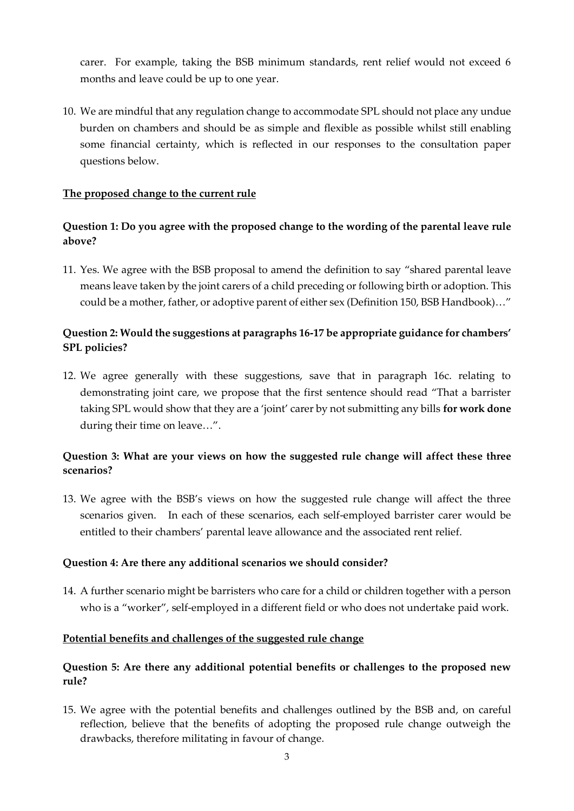carer. For example, taking the BSB minimum standards, rent relief would not exceed 6 months and leave could be up to one year.

10. We are mindful that any regulation change to accommodate SPL should not place any undue burden on chambers and should be as simple and flexible as possible whilst still enabling some financial certainty, which is reflected in our responses to the consultation paper questions below.

### **The proposed change to the current rule**

# **Question 1: Do you agree with the proposed change to the wording of the parental leave rule above?**

11. Yes. We agree with the BSB proposal to amend the definition to say "shared parental leave means leave taken by the joint carers of a child preceding or following birth or adoption. This could be a mother, father, or adoptive parent of either sex (Definition 150, BSB Handbook)…"

# **Question 2: Would the suggestions at paragraphs 16-17 be appropriate guidance for chambers' SPL policies?**

12. We agree generally with these suggestions, save that in paragraph 16c. relating to demonstrating joint care, we propose that the first sentence should read "That a barrister taking SPL would show that they are a 'joint' carer by not submitting any bills **for work done** during their time on leave…".

# **Question 3: What are your views on how the suggested rule change will affect these three scenarios?**

13. We agree with the BSB's views on how the suggested rule change will affect the three scenarios given. In each of these scenarios, each self-employed barrister carer would be entitled to their chambers' parental leave allowance and the associated rent relief.

### **Question 4: Are there any additional scenarios we should consider?**

14. A further scenario might be barristers who care for a child or children together with a person who is a "worker", self-employed in a different field or who does not undertake paid work.

### **Potential benefits and challenges of the suggested rule change**

# **Question 5: Are there any additional potential benefits or challenges to the proposed new rule?**

15. We agree with the potential benefits and challenges outlined by the BSB and, on careful reflection, believe that the benefits of adopting the proposed rule change outweigh the drawbacks, therefore militating in favour of change.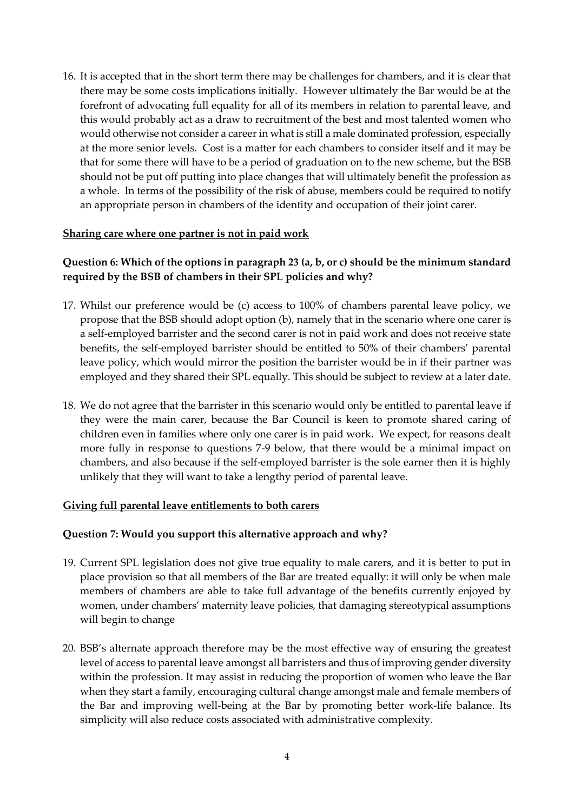16. It is accepted that in the short term there may be challenges for chambers, and it is clear that there may be some costs implications initially. However ultimately the Bar would be at the forefront of advocating full equality for all of its members in relation to parental leave, and this would probably act as a draw to recruitment of the best and most talented women who would otherwise not consider a career in what is still a male dominated profession, especially at the more senior levels. Cost is a matter for each chambers to consider itself and it may be that for some there will have to be a period of graduation on to the new scheme, but the BSB should not be put off putting into place changes that will ultimately benefit the profession as a whole. In terms of the possibility of the risk of abuse, members could be required to notify an appropriate person in chambers of the identity and occupation of their joint carer.

### **Sharing care where one partner is not in paid work**

# **Question 6: Which of the options in paragraph 23 (a, b, or c) should be the minimum standard required by the BSB of chambers in their SPL policies and why?**

- 17. Whilst our preference would be (c) access to 100% of chambers parental leave policy, we propose that the BSB should adopt option (b), namely that in the scenario where one carer is a self-employed barrister and the second carer is not in paid work and does not receive state benefits, the self-employed barrister should be entitled to 50% of their chambers' parental leave policy, which would mirror the position the barrister would be in if their partner was employed and they shared their SPL equally. This should be subject to review at a later date.
- 18. We do not agree that the barrister in this scenario would only be entitled to parental leave if they were the main carer, because the Bar Council is keen to promote shared caring of children even in families where only one carer is in paid work. We expect, for reasons dealt more fully in response to questions 7-9 below, that there would be a minimal impact on chambers, and also because if the self-employed barrister is the sole earner then it is highly unlikely that they will want to take a lengthy period of parental leave.

# **Giving full parental leave entitlements to both carers**

### **Question 7: Would you support this alternative approach and why?**

- 19. Current SPL legislation does not give true equality to male carers, and it is better to put in place provision so that all members of the Bar are treated equally: it will only be when male members of chambers are able to take full advantage of the benefits currently enjoyed by women, under chambers' maternity leave policies, that damaging stereotypical assumptions will begin to change
- 20. BSB's alternate approach therefore may be the most effective way of ensuring the greatest level of access to parental leave amongst all barristers and thus of improving gender diversity within the profession. It may assist in reducing the proportion of women who leave the Bar when they start a family, encouraging cultural change amongst male and female members of the Bar and improving well-being at the Bar by promoting better work-life balance. Its simplicity will also reduce costs associated with administrative complexity.